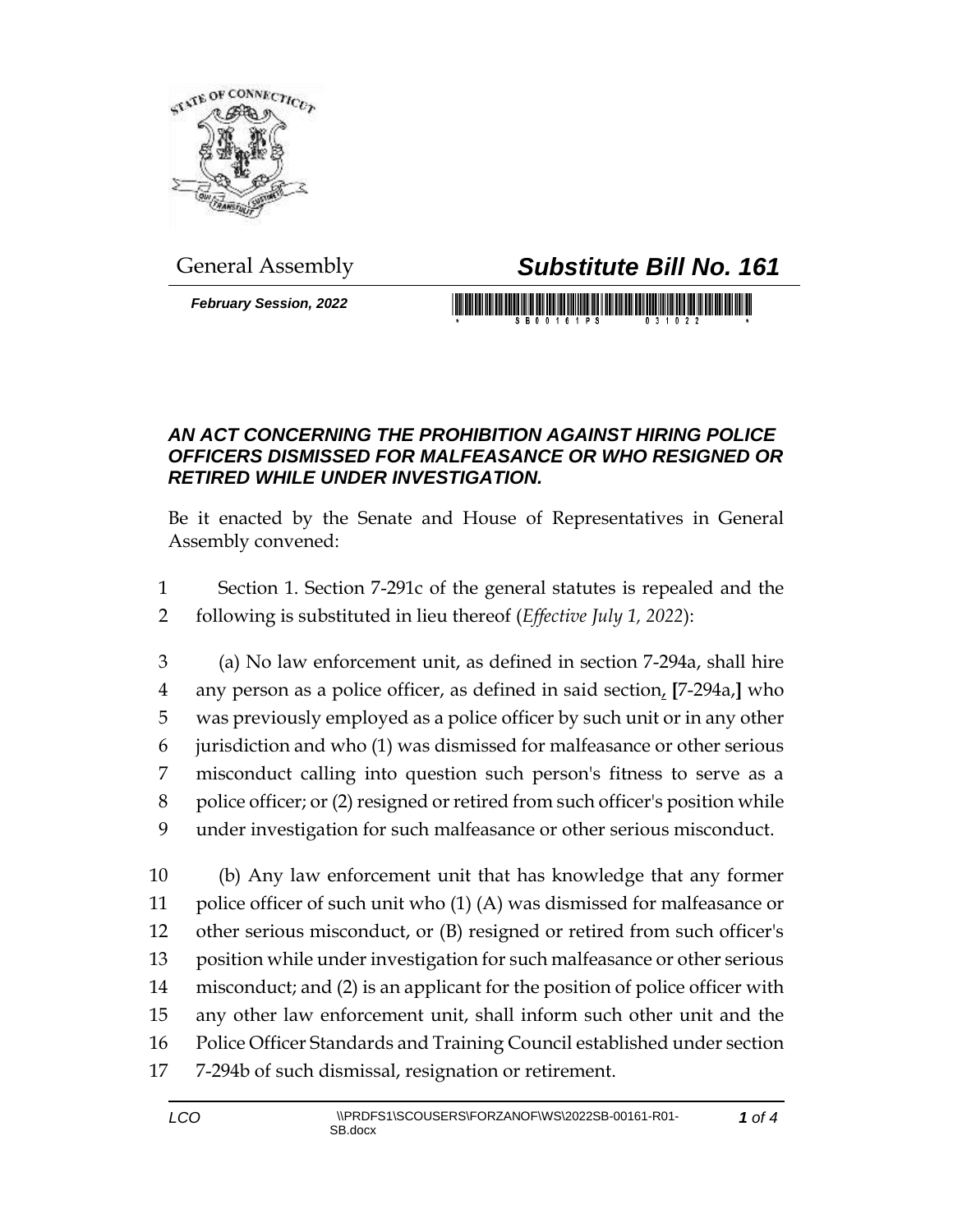

## General Assembly *Substitute Bill No. 161*

*February Session, 2022*

## 

## *AN ACT CONCERNING THE PROHIBITION AGAINST HIRING POLICE OFFICERS DISMISSED FOR MALFEASANCE OR WHO RESIGNED OR RETIRED WHILE UNDER INVESTIGATION.*

Be it enacted by the Senate and House of Representatives in General Assembly convened:

- Section 1. Section 7-291c of the general statutes is repealed and the following is substituted in lieu thereof (*Effective July 1, 2022*):
- (a) No law enforcement unit, as defined in section 7-294a, shall hire any person as a police officer, as defined in said section, **[**7-294a,**]** who was previously employed as a police officer by such unit or in any other jurisdiction and who (1) was dismissed for malfeasance or other serious misconduct calling into question such person's fitness to serve as a police officer; or (2) resigned or retired from such officer's position while under investigation for such malfeasance or other serious misconduct.

 (b) Any law enforcement unit that has knowledge that any former police officer of such unit who (1) (A) was dismissed for malfeasance or other serious misconduct, or (B) resigned or retired from such officer's position while under investigation for such malfeasance or other serious misconduct; and (2) is an applicant for the position of police officer with any other law enforcement unit, shall inform such other unit and the Police Officer Standards and Training Council established under section 7-294b of such dismissal, resignation or retirement.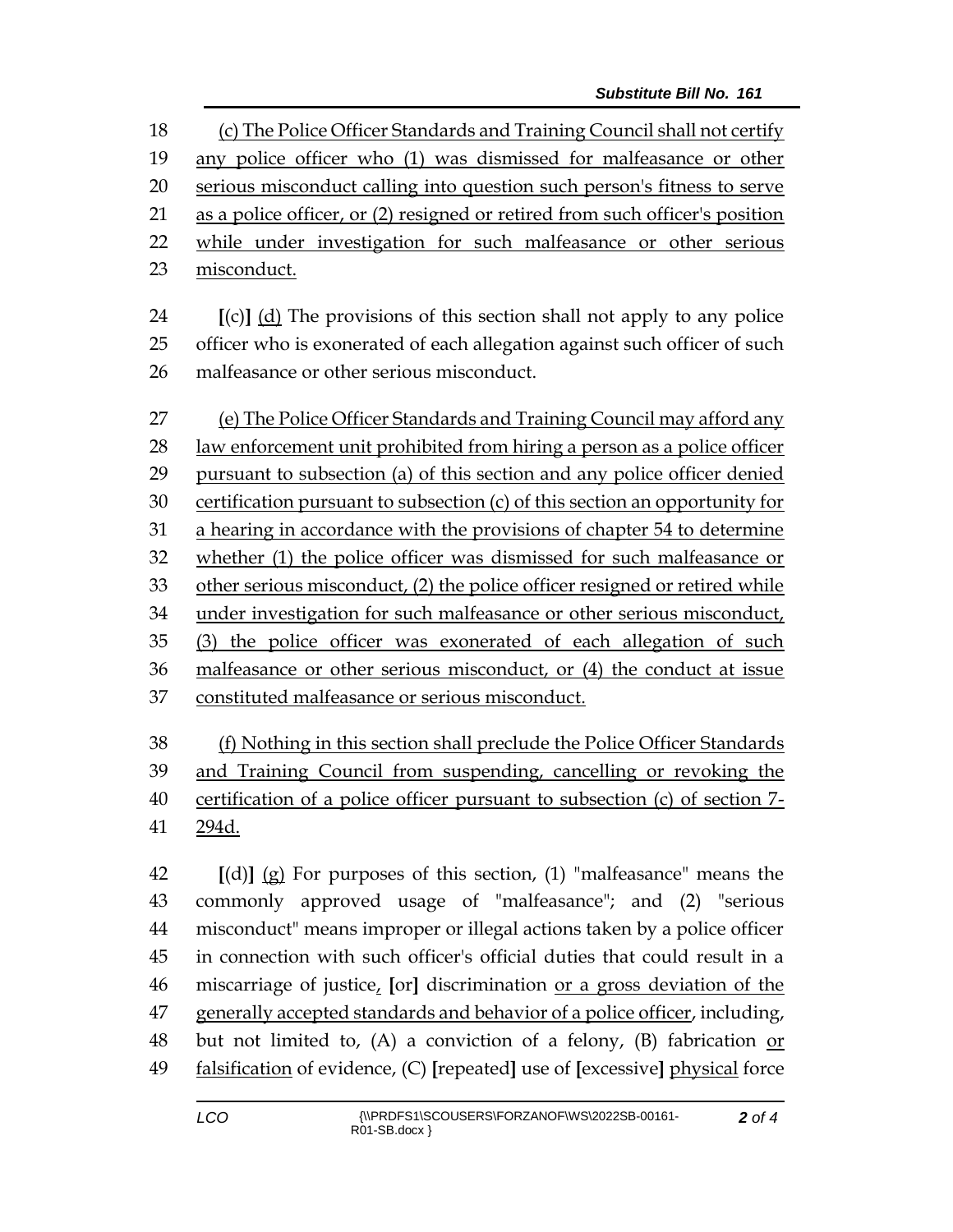(c) The Police Officer Standards and Training Council shall not certify any police officer who (1) was dismissed for malfeasance or other serious misconduct calling into question such person's fitness to serve as a police officer, or (2) resigned or retired from such officer's position 22 while under investigation for such malfeasance or other serious misconduct.

 **[**(c)**]** (d) The provisions of this section shall not apply to any police officer who is exonerated of each allegation against such officer of such malfeasance or other serious misconduct.

 (e) The Police Officer Standards and Training Council may afford any law enforcement unit prohibited from hiring a person as a police officer pursuant to subsection (a) of this section and any police officer denied certification pursuant to subsection (c) of this section an opportunity for a hearing in accordance with the provisions of chapter 54 to determine whether (1) the police officer was dismissed for such malfeasance or other serious misconduct, (2) the police officer resigned or retired while under investigation for such malfeasance or other serious misconduct, (3) the police officer was exonerated of each allegation of such malfeasance or other serious misconduct, or (4) the conduct at issue constituted malfeasance or serious misconduct.

 (f) Nothing in this section shall preclude the Police Officer Standards and Training Council from suspending, cancelling or revoking the certification of a police officer pursuant to subsection (c) of section 7- 294d.

 **[**(d)**]** (g) For purposes of this section, (1) "malfeasance" means the commonly approved usage of "malfeasance"; and (2) "serious misconduct" means improper or illegal actions taken by a police officer in connection with such officer's official duties that could result in a miscarriage of justice, **[**or**]** discrimination or a gross deviation of the generally accepted standards and behavior of a police officer, including, but not limited to, (A) a conviction of a felony, (B) fabrication or falsification of evidence, (C) **[**repeated**]** use of **[**excessive**]** physical force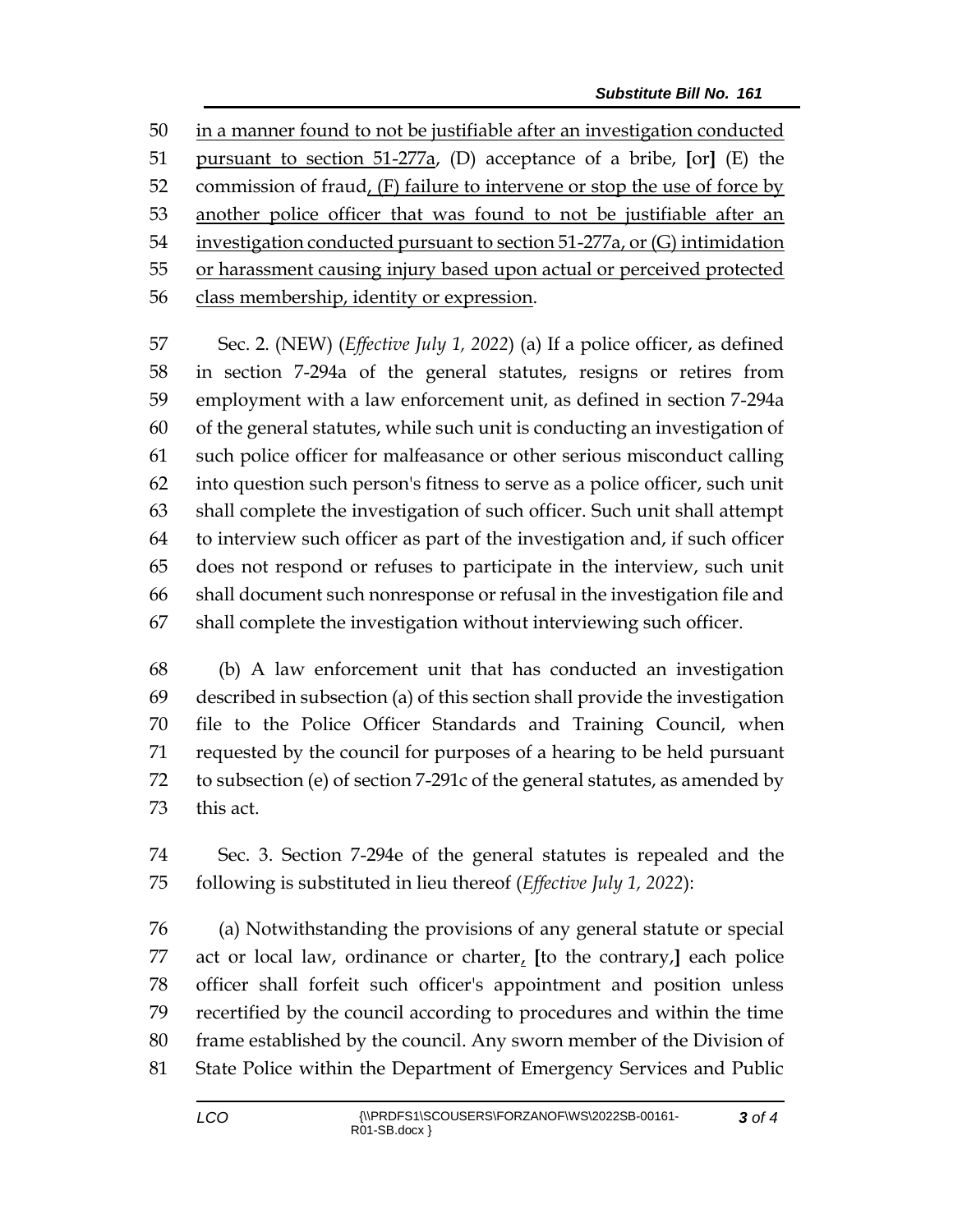in a manner found to not be justifiable after an investigation conducted pursuant to section 51-277a, (D) acceptance of a bribe, **[**or**]** (E) the 52 commission of fraud,  $(F)$  failure to intervene or stop the use of force by another police officer that was found to not be justifiable after an investigation conducted pursuant to section 51-277a, or (G) intimidation or harassment causing injury based upon actual or perceived protected class membership, identity or expression.

 Sec. 2. (NEW) (*Effective July 1, 2022*) (a) If a police officer, as defined in section 7-294a of the general statutes, resigns or retires from employment with a law enforcement unit, as defined in section 7-294a of the general statutes, while such unit is conducting an investigation of such police officer for malfeasance or other serious misconduct calling into question such person's fitness to serve as a police officer, such unit shall complete the investigation of such officer. Such unit shall attempt to interview such officer as part of the investigation and, if such officer does not respond or refuses to participate in the interview, such unit shall document such nonresponse or refusal in the investigation file and shall complete the investigation without interviewing such officer.

 (b) A law enforcement unit that has conducted an investigation described in subsection (a) of this section shall provide the investigation file to the Police Officer Standards and Training Council, when requested by the council for purposes of a hearing to be held pursuant to subsection (e) of section 7-291c of the general statutes, as amended by this act.

 Sec. 3. Section 7-294e of the general statutes is repealed and the following is substituted in lieu thereof (*Effective July 1, 2022*):

 (a) Notwithstanding the provisions of any general statute or special act or local law, ordinance or charter, **[**to the contrary,**]** each police officer shall forfeit such officer's appointment and position unless recertified by the council according to procedures and within the time frame established by the council. Any sworn member of the Division of State Police within the Department of Emergency Services and Public